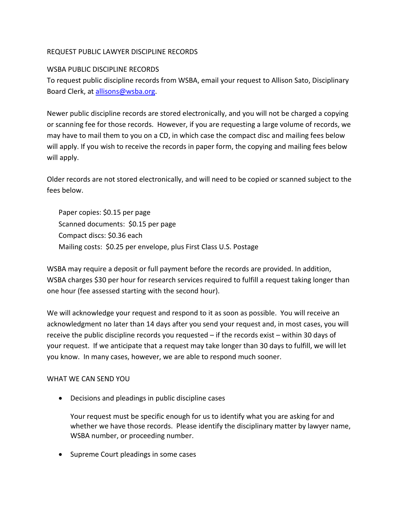# REQUEST PUBLIC LAWYER DISCIPLINE RECORDS

## WSBA PUBLIC DISCIPLINE RECORDS

To request public discipline records from WSBA, email your request to Allison Sato, Disciplinary Board Clerk, at [allisons@wsba.org.](mailto:allisons@wsba.org)

Newer public discipline records are stored electronically, and you will not be charged a copying or scanning fee for those records. However, if you are requesting a large volume of records, we may have to mail them to you on a CD, in which case the compact disc and mailing fees below will apply. If you wish to receive the records in paper form, the copying and mailing fees below will apply.

Older records are not stored electronically, and will need to be copied or scanned subject to the fees below.

Paper copies: \$0.15 per page Scanned documents: \$0.15 per page Compact discs: \$0.36 each Mailing costs: \$0.25 per envelope, plus First Class U.S. Postage

WSBA may require a deposit or full payment before the records are provided. In addition, WSBA charges \$30 per hour for research services required to fulfill a request taking longer than one hour (fee assessed starting with the second hour).

We will acknowledge your request and respond to it as soon as possible. You will receive an acknowledgment no later than 14 days after you send your request and, in most cases, you will receive the public discipline records you requested – if the records exist – within 30 days of your request. If we anticipate that a request may take longer than 30 days to fulfill, we will let you know. In many cases, however, we are able to respond much sooner.

## WHAT WE CAN SEND YOU

• Decisions and pleadings in public discipline cases

Your request must be specific enough for us to identify what you are asking for and whether we have those records. Please identify the disciplinary matter by lawyer name, WSBA number, or proceeding number.

• Supreme Court pleadings in some cases